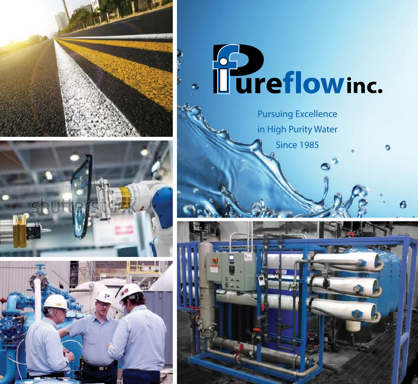







Pursuing Excellence in High Purity Water Since 1985

 $\circ$ 

Ő

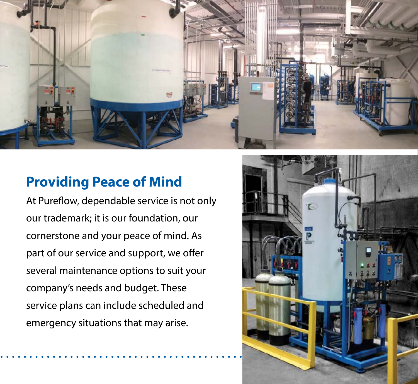

#### **Providing Peace of Mind**

At Pureflow, dependable service is not only our trademark; it is our foundation, our cornerstone and your peace of mind. As part of our service and support, we offer several maintenance options to suit your company's needs and budget. These service plans can include scheduled and emergency situations that may arise.

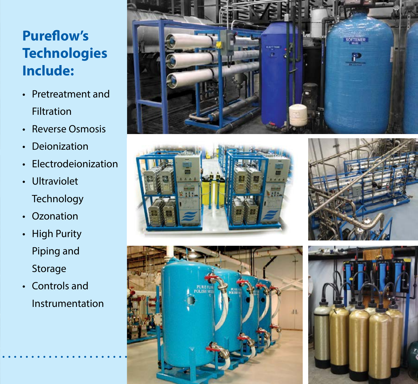## **Pureflow's Technologies Include:**

- Pretreatment and Filtration
- Reverse Osmosis
- Deionization
- Electrodeionization
- Ultraviolet **Technology**
- Ozonation
- High Purity Piping and Storage
- Controls and Instrumentation









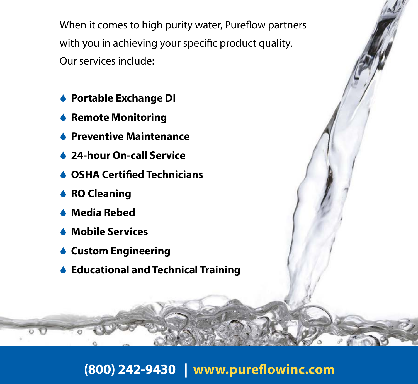When it comes to high purity water, Pureflow partners with you in achieving your specific product quality. Our services include:

- **Portable Exchange DI**
- **Remote Monitoring**
- **Preventive Maintenance**
- **▲ 24-hour On-call Service**
- **OSHA Certified Technicians**
- **↓ RO Cleaning**
- **Media Rebed**
- **Mobile Services**
- **Custom Engineering**
- **Educational and Technical Training**

### **(800) 242-9430 | www.pureflowinc.com**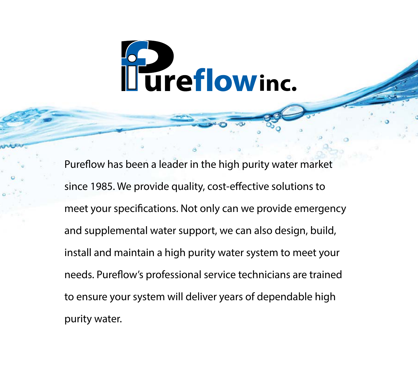

Pureflow has been a leader in the high purity water market since 1985. We provide quality, cost-effective solutions to meet your specifications. Not only can we provide emergency and supplemental water support, we can also design, build, install and maintain a high purity water system to meet your needs. Pureflow's professional service technicians are trained to ensure your system will deliver years of dependable high purity water.